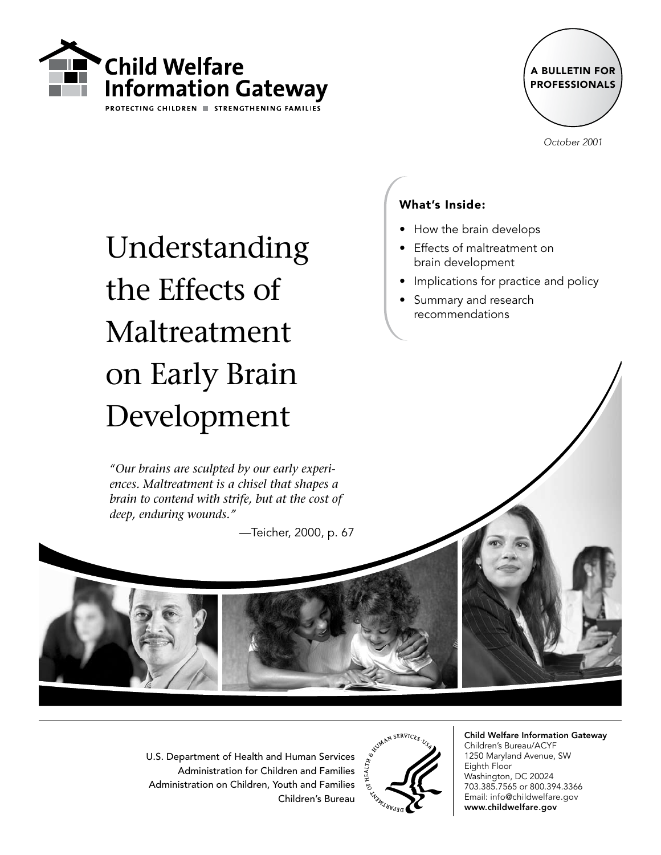



October 2001

# Understanding the Effects of Maltreatment on Early Brain Development

*"Our brains are sculpted by our early experiences. Maltreatment is a chisel that shapes a brain to contend with strife, but at the cost of deep, enduring wounds."*

—Teicher, 2000, p. 67

#### What's Inside:

- How the brain develops
- Effects of maltreatment on brain development
- $\bullet$  Implications for practice and policy
- Summary and research recommendations •

U.S. Department of Health and Human Services Administration for Children and Families Administration on Children, Youth and Families Children's Bureau



Child Welfare Information Gateway Children's Bureau/ACYF 1250 Maryland Avenue, SW Eighth Floor Washington, DC 20024 703.385.7565 or 800.394.3366 Email: info@childwelfare.gov www.childwelfare.gov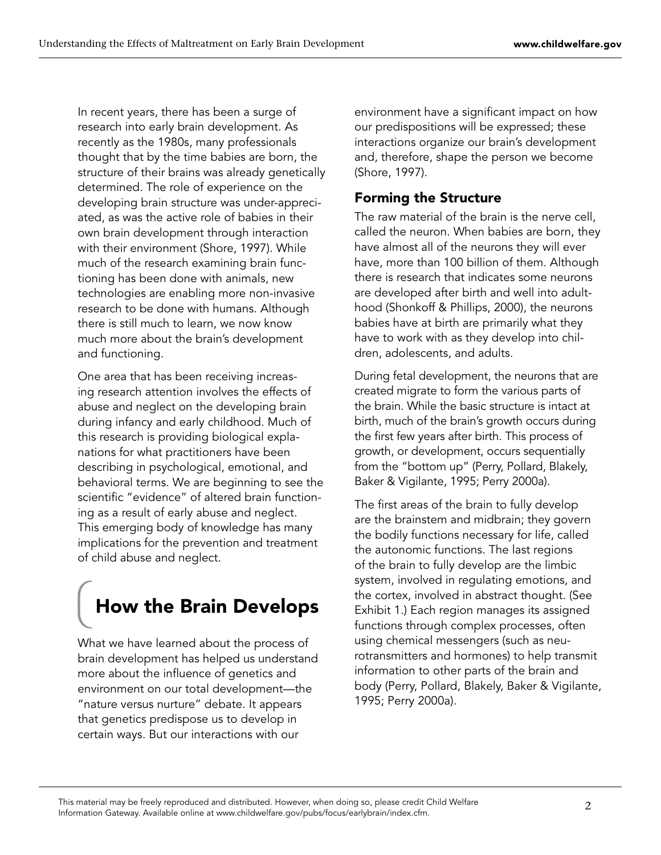In recent years, there has been a surge of research into early brain development. As recently as the 1980s, many professionals thought that by the time babies are born, the structure of their brains was already genetically determined. The role of experience on the developing brain structure was under-appreciated, as was the active role of babies in their own brain development through interaction with their environment (Shore, 1997). While much of the research examining brain functioning has been done with animals, new technologies are enabling more non-invasive research to be done with humans. Although there is still much to learn, we now know much more about the brain's development and functioning.

One area that has been receiving increasing research attention involves the effects of abuse and neglect on the developing brain during infancy and early childhood. Much of this research is providing biological explanations for what practitioners have been describing in psychological, emotional, and behavioral terms. We are beginning to see the scientific "evidence" of altered brain functioning as a result of early abuse and neglect. This emerging body of knowledge has many implications for the prevention and treatment of child abuse and neglect.

# How the Brain Develops

What we have learned about the process of brain development has helped us understand more about the influence of genetics and environment on our total development—the "nature versus nurture" debate. It appears that genetics predispose us to develop in certain ways. But our interactions with our

environment have a significant impact on how our predispositions will be expressed; these interactions organize our brain's development and, therefore, shape the person we become (Shore, 1997).

# Forming the Structure

The raw material of the brain is the nerve cell, called the neuron. When babies are born, they have almost all of the neurons they will ever have, more than 100 billion of them. Although there is research that indicates some neurons are developed after birth and well into adulthood (Shonkoff & Phillips, 2000), the neurons babies have at birth are primarily what they have to work with as they develop into children, adolescents, and adults.

During fetal development, the neurons that are created migrate to form the various parts of the brain. While the basic structure is intact at birth, much of the brain's growth occurs during the first few years after birth. This process of growth, or development, occurs sequentially from the "bottom up" (Perry, Pollard, Blakely, Baker & Vigilante, 1995; Perry 2000a).

The first areas of the brain to fully develop are the brainstem and midbrain; they govern the bodily functions necessary for life, called the autonomic functions. The last regions of the brain to fully develop are the limbic system, involved in regulating emotions, and the cortex, involved in abstract thought. (See Exhibit 1.) Each region manages its assigned functions through complex processes, often using chemical messengers (such as neurotransmitters and hormones) to help transmit information to other parts of the brain and body (Perry, Pollard, Blakely, Baker & Vigilante, 1995; Perry 2000a).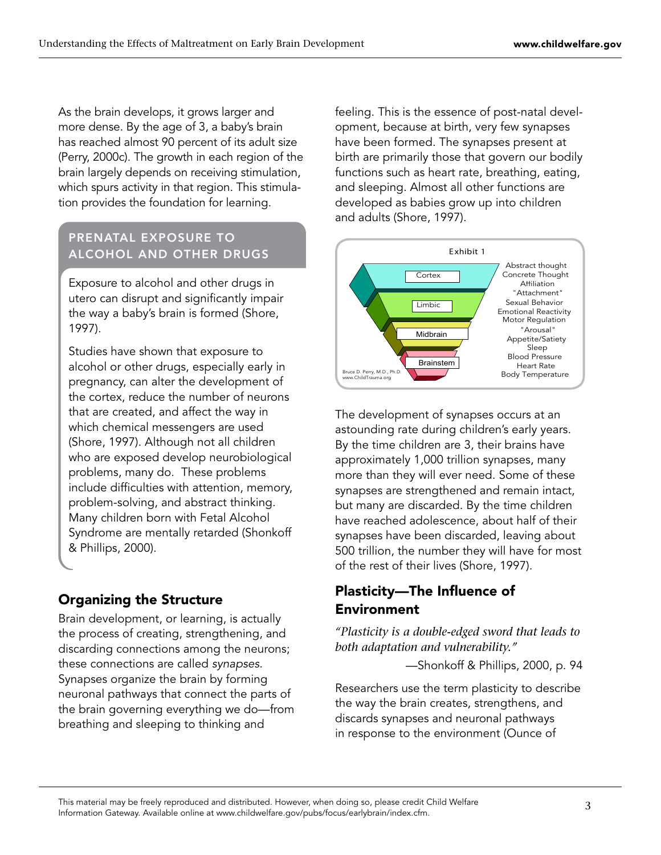As the brain develops, it grows larger and more dense. By the age of 3, a baby's brain has reached almost 90 percent of its adult size (Perry, 2000c). The growth in each region of the brain largely depends on receiving stimulation, which spurs activity in that region. This stimulation provides the foundation for learning.

#### Prenatal Exposure to Alcohol and Other Drugs

Exposure to alcohol and other drugs in utero can disrupt and significantly impair the way a baby's brain is formed (Shore, 1997).

Studies have shown that exposure to alcohol or other drugs, especially early in pregnancy, can alter the development of the cortex, reduce the number of neurons that are created, and affect the way in which chemical messengers are used (Shore, 1997). Although not all children who are exposed develop neurobiological problems, many do. These problems include difficulties with attention, memory, problem-solving, and abstract thinking. Many children born with Fetal Alcohol Syndrome are mentally retarded (Shonkoff & Phillips, 2000).

# Organizing the Structure

Brain development, or learning, is actually the process of creating, strengthening, and discarding connections among the neurons; these connections are called synapses. Synapses organize the brain by forming neuronal pathways that connect the parts of the brain governing everything we do—from breathing and sleeping to thinking and

feeling. This is the essence of post-natal development, because at birth, very few synapses have been formed. The synapses present at birth are primarily those that govern our bodily functions such as heart rate, breathing, eating, and sleeping. Almost all other functions are developed as babies grow up into children and adults (Shore, 1997).



The development of synapses occurs at an astounding rate during children's early years. By the time children are 3, their brains have approximately 1,000 trillion synapses, many more than they will ever need. Some of these synapses are strengthened and remain intact, but many are discarded. By the time children have reached adolescence, about half of their synapses have been discarded, leaving about 500 trillion, the number they will have for most of the rest of their lives (Shore, 1997).

# Plasticity—The Influence of Environment

*"Plasticity is a double-edged sword that leads to both adaptation and vulnerability."* 

—Shonkoff & Phillips, 2000, p. 94

Researchers use the term plasticity to describe the way the brain creates, strengthens, and discards synapses and neuronal pathways in response to the environment (Ounce of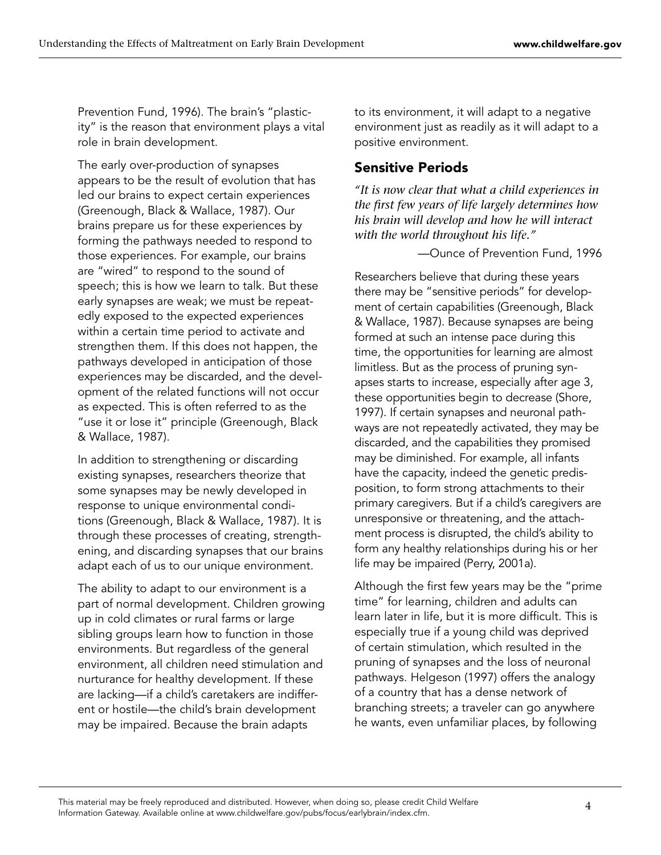Prevention Fund, 1996). The brain's "plasticity" is the reason that environment plays a vital role in brain development.

The early over-production of synapses appears to be the result of evolution that has led our brains to expect certain experiences (Greenough, Black & Wallace, 1987). Our brains prepare us for these experiences by forming the pathways needed to respond to those experiences. For example, our brains are "wired" to respond to the sound of speech; this is how we learn to talk. But these early synapses are weak; we must be repeatedly exposed to the expected experiences within a certain time period to activate and strengthen them. If this does not happen, the pathways developed in anticipation of those experiences may be discarded, and the development of the related functions will not occur as expected. This is often referred to as the "use it or lose it" principle (Greenough, Black & Wallace, 1987).

In addition to strengthening or discarding existing synapses, researchers theorize that some synapses may be newly developed in response to unique environmental conditions (Greenough, Black & Wallace, 1987). It is through these processes of creating, strengthening, and discarding synapses that our brains adapt each of us to our unique environment.

The ability to adapt to our environment is a part of normal development. Children growing up in cold climates or rural farms or large sibling groups learn how to function in those environments. But regardless of the general environment, all children need stimulation and nurturance for healthy development. If these are lacking—if a child's caretakers are indifferent or hostile—the child's brain development may be impaired. Because the brain adapts

to its environment, it will adapt to a negative environment just as readily as it will adapt to a positive environment.

### Sensitive Periods

*"It is now clear that what a child experiences in the first few years of life largely determines how his brain will develop and how he will interact with the world throughout his life."*

—Ounce of Prevention Fund, 1996

Researchers believe that during these years there may be "sensitive periods" for development of certain capabilities (Greenough, Black & Wallace, 1987). Because synapses are being formed at such an intense pace during this time, the opportunities for learning are almost limitless. But as the process of pruning synapses starts to increase, especially after age 3, these opportunities begin to decrease (Shore, 1997). If certain synapses and neuronal pathways are not repeatedly activated, they may be discarded, and the capabilities they promised may be diminished. For example, all infants have the capacity, indeed the genetic predisposition, to form strong attachments to their primary caregivers. But if a child's caregivers are unresponsive or threatening, and the attachment process is disrupted, the child's ability to form any healthy relationships during his or her life may be impaired (Perry, 2001a).

Although the first few years may be the "prime time" for learning, children and adults can learn later in life, but it is more difficult. This is especially true if a young child was deprived of certain stimulation, which resulted in the pruning of synapses and the loss of neuronal pathways. Helgeson (1997) offers the analogy of a country that has a dense network of branching streets; a traveler can go anywhere he wants, even unfamiliar places, by following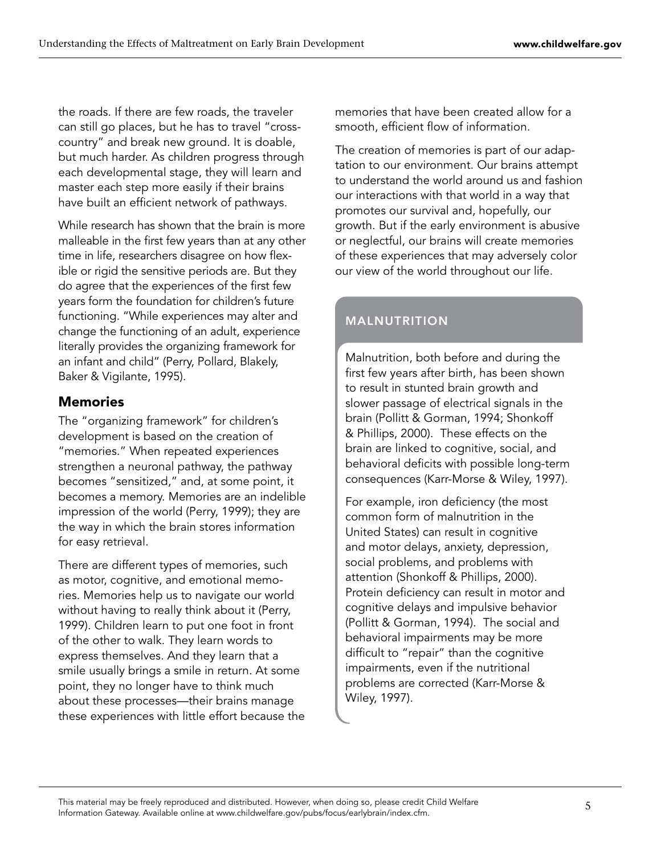the roads. If there are few roads, the traveler can still go places, but he has to travel "crosscountry" and break new ground. It is doable, but much harder. As children progress through each developmental stage, they will learn and master each step more easily if their brains have built an efficient network of pathways.

While research has shown that the brain is more malleable in the first few years than at any other time in life, researchers disagree on how flexible or rigid the sensitive periods are. But they do agree that the experiences of the first few years form the foundation for children's future functioning. "While experiences may alter and change the functioning of an adult, experience literally provides the organizing framework for an infant and child" (Perry, Pollard, Blakely, Baker & Vigilante, 1995).

#### Memories

The "organizing framework" for children's development is based on the creation of "memories." When repeated experiences strengthen a neuronal pathway, the pathway becomes "sensitized," and, at some point, it becomes a memory. Memories are an indelible impression of the world (Perry, 1999); they are the way in which the brain stores information for easy retrieval.

There are different types of memories, such as motor, cognitive, and emotional memories. Memories help us to navigate our world without having to really think about it (Perry, 1999). Children learn to put one foot in front of the other to walk. They learn words to express themselves. And they learn that a smile usually brings a smile in return. At some point, they no longer have to think much about these processes—their brains manage these experiences with little effort because the memories that have been created allow for a smooth, efficient flow of information.

The creation of memories is part of our adaptation to our environment. Our brains attempt to understand the world around us and fashion our interactions with that world in a way that promotes our survival and, hopefully, our growth. But if the early environment is abusive or neglectful, our brains will create memories of these experiences that may adversely color our view of the world throughout our life.

# **MALNUTRITION**

Malnutrition, both before and during the first few years after birth, has been shown to result in stunted brain growth and slower passage of electrical signals in the brain (Pollitt & Gorman, 1994; Shonkoff & Phillips, 2000). These effects on the brain are linked to cognitive, social, and behavioral deficits with possible long-term consequences (Karr-Morse & Wiley, 1997).

For example, iron deficiency (the most common form of malnutrition in the United States) can result in cognitive and motor delays, anxiety, depression, social problems, and problems with attention (Shonkoff & Phillips, 2000). Protein deficiency can result in motor and cognitive delays and impulsive behavior (Pollitt & Gorman, 1994). The social and behavioral impairments may be more difficult to "repair" than the cognitive impairments, even if the nutritional problems are corrected (Karr-Morse & Wiley, 1997).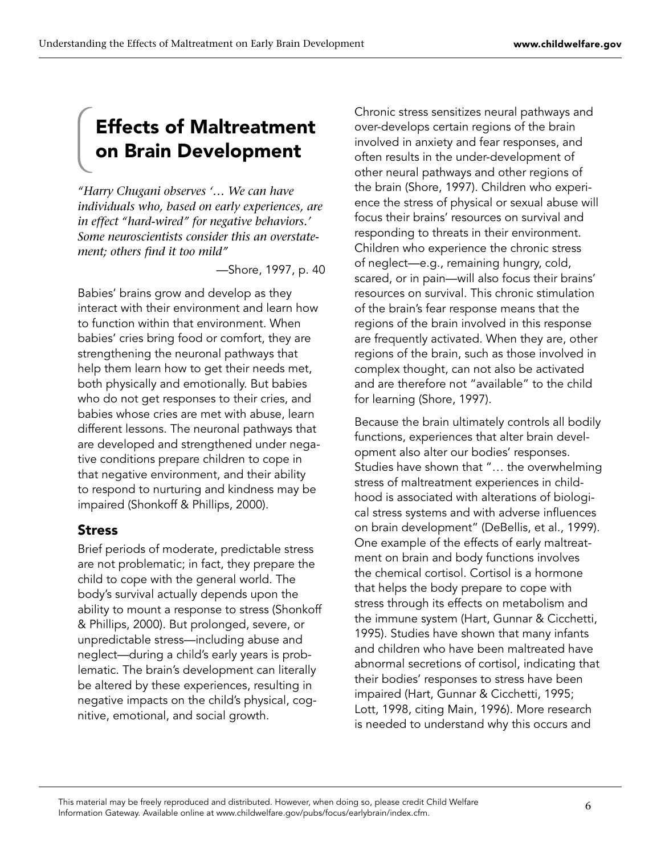# Effects of Maltreatment on Brain Development

*"Harry Chugani observes '… We can have individuals who, based on early experiences, are in effect "hard-wired" for negative behaviors.' Some neuroscientists consider this an overstatement; others find it too mild"* 

—Shore, 1997, p. 40

Babies' brains grow and develop as they interact with their environment and learn how to function within that environment. When babies' cries bring food or comfort, they are strengthening the neuronal pathways that help them learn how to get their needs met, both physically and emotionally. But babies who do not get responses to their cries, and babies whose cries are met with abuse, learn different lessons. The neuronal pathways that are developed and strengthened under negative conditions prepare children to cope in that negative environment, and their ability to respond to nurturing and kindness may be impaired (Shonkoff & Phillips, 2000).

#### Stress

Brief periods of moderate, predictable stress are not problematic; in fact, they prepare the child to cope with the general world. The body's survival actually depends upon the ability to mount a response to stress (Shonkoff & Phillips, 2000). But prolonged, severe, or unpredictable stress—including abuse and neglect—during a child's early years is problematic. The brain's development can literally be altered by these experiences, resulting in negative impacts on the child's physical, cognitive, emotional, and social growth.

Chronic stress sensitizes neural pathways and over-develops certain regions of the brain involved in anxiety and fear responses, and often results in the under-development of other neural pathways and other regions of the brain (Shore, 1997). Children who experience the stress of physical or sexual abuse will focus their brains' resources on survival and responding to threats in their environment. Children who experience the chronic stress of neglect—e.g., remaining hungry, cold, scared, or in pain—will also focus their brains' resources on survival. This chronic stimulation of the brain's fear response means that the regions of the brain involved in this response are frequently activated. When they are, other regions of the brain, such as those involved in complex thought, can not also be activated and are therefore not "available" to the child for learning (Shore, 1997).

Because the brain ultimately controls all bodily functions, experiences that alter brain development also alter our bodies' responses. Studies have shown that "… the overwhelming stress of maltreatment experiences in childhood is associated with alterations of biological stress systems and with adverse influences on brain development" (DeBellis, et al., 1999). One example of the effects of early maltreatment on brain and body functions involves the chemical cortisol. Cortisol is a hormone that helps the body prepare to cope with stress through its effects on metabolism and the immune system (Hart, Gunnar & Cicchetti, 1995). Studies have shown that many infants and children who have been maltreated have abnormal secretions of cortisol, indicating that their bodies' responses to stress have been impaired (Hart, Gunnar & Cicchetti, 1995; Lott, 1998, citing Main, 1996). More research is needed to understand why this occurs and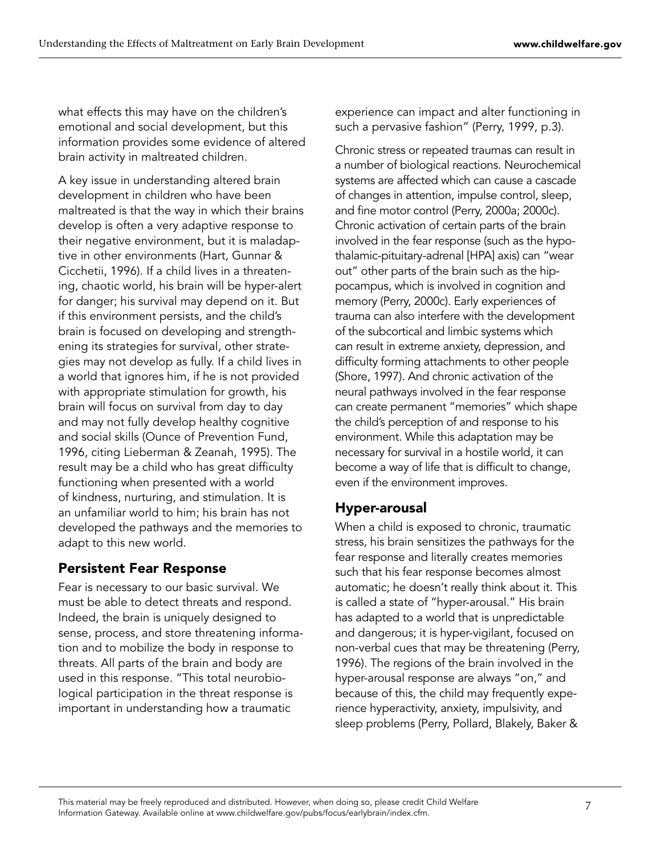what effects this may have on the children's emotional and social development, but this information provides some evidence of altered brain activity in maltreated children.

A key issue in understanding altered brain development in children who have been maltreated is that the way in which their brains develop is often a very adaptive response to their negative environment, but it is maladaptive in other environments (Hart, Gunnar & Cicchetii, 1996). If a child lives in a threatening, chaotic world, his brain will be hyper-alert for danger; his survival may depend on it. But if this environment persists, and the child's brain is focused on developing and strengthening its strategies for survival, other strategies may not develop as fully. If a child lives in a world that ignores him, if he is not provided with appropriate stimulation for growth, his brain will focus on survival from day to day and may not fully develop healthy cognitive and social skills (Ounce of Prevention Fund, 1996, citing Lieberman & Zeanah, 1995). The result may be a child who has great difficulty functioning when presented with a world of kindness, nurturing, and stimulation. It is an unfamiliar world to him; his brain has not developed the pathways and the memories to adapt to this new world.

# Persistent Fear Response

Fear is necessary to our basic survival. We must be able to detect threats and respond. Indeed, the brain is uniquely designed to sense, process, and store threatening information and to mobilize the body in response to threats. All parts of the brain and body are used in this response. "This total neurobiological participation in the threat response is important in understanding how a traumatic

experience can impact and alter functioning in such a pervasive fashion" (Perry, 1999, p.3).

Chronic stress or repeated traumas can result in a number of biological reactions. Neurochemical systems are affected which can cause a cascade of changes in attention, impulse control, sleep, and fine motor control (Perry, 2000a; 2000c). Chronic activation of certain parts of the brain involved in the fear response (such as the hypothalamic-pituitary-adrenal [HPA] axis) can "wear out" other parts of the brain such as the hippocampus, which is involved in cognition and memory (Perry, 2000c). Early experiences of trauma can also interfere with the development of the subcortical and limbic systems which can result in extreme anxiety, depression, and difficulty forming attachments to other people (Shore, 1997). And chronic activation of the neural pathways involved in the fear response can create permanent "memories" which shape the child's perception of and response to his environment. While this adaptation may be necessary for survival in a hostile world, it can become a way of life that is difficult to change, even if the environment improves.

#### Hyper-arousal

When a child is exposed to chronic, traumatic stress, his brain sensitizes the pathways for the fear response and literally creates memories such that his fear response becomes almost automatic; he doesn't really think about it. This is called a state of "hyper-arousal." His brain has adapted to a world that is unpredictable and dangerous; it is hyper-vigilant, focused on non-verbal cues that may be threatening (Perry, 1996). The regions of the brain involved in the hyper-arousal response are always "on," and because of this, the child may frequently experience hyperactivity, anxiety, impulsivity, and sleep problems (Perry, Pollard, Blakely, Baker &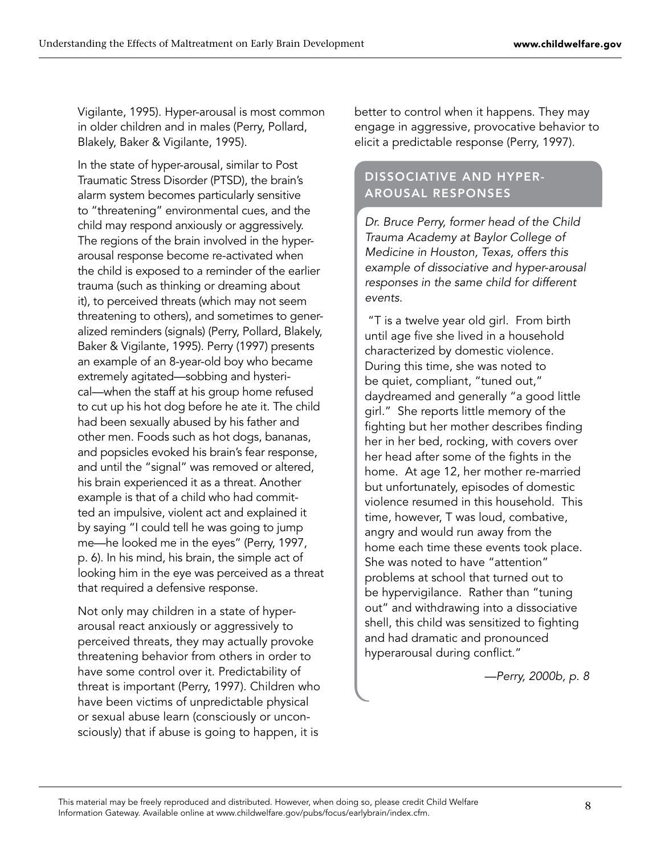Vigilante, 1995). Hyper-arousal is most common in older children and in males (Perry, Pollard, Blakely, Baker & Vigilante, 1995).

In the state of hyper-arousal, similar to Post Traumatic Stress Disorder (PTSD), the brain's alarm system becomes particularly sensitive to "threatening" environmental cues, and the child may respond anxiously or aggressively. The regions of the brain involved in the hyperarousal response become re-activated when the child is exposed to a reminder of the earlier trauma (such as thinking or dreaming about it), to perceived threats (which may not seem threatening to others), and sometimes to generalized reminders (signals) (Perry, Pollard, Blakely, Baker & Vigilante, 1995). Perry (1997) presents an example of an 8-year-old boy who became extremely agitated—sobbing and hysterical—when the staff at his group home refused to cut up his hot dog before he ate it. The child had been sexually abused by his father and other men. Foods such as hot dogs, bananas, and popsicles evoked his brain's fear response, and until the "signal" was removed or altered, his brain experienced it as a threat. Another example is that of a child who had committed an impulsive, violent act and explained it by saying "I could tell he was going to jump me—he looked me in the eyes" (Perry, 1997, p. 6). In his mind, his brain, the simple act of looking him in the eye was perceived as a threat that required a defensive response.

Not only may children in a state of hyperarousal react anxiously or aggressively to perceived threats, they may actually provoke threatening behavior from others in order to have some control over it. Predictability of threat is important (Perry, 1997). Children who have been victims of unpredictable physical or sexual abuse learn (consciously or unconsciously) that if abuse is going to happen, it is

better to control when it happens. They may engage in aggressive, provocative behavior to elicit a predictable response (Perry, 1997).

#### Dissociative and Hyperarousal Responses

Dr. Bruce Perry, former head of the Child Trauma Academy at Baylor College of Medicine in Houston, Texas, offers this example of dissociative and hyper-arousal responses in the same child for different events.

 "T is a twelve year old girl. From birth until age five she lived in a household characterized by domestic violence. During this time, she was noted to be quiet, compliant, "tuned out," daydreamed and generally "a good little girl." She reports little memory of the fighting but her mother describes finding her in her bed, rocking, with covers over her head after some of the fights in the home. At age 12, her mother re-married but unfortunately, episodes of domestic violence resumed in this household. This time, however, T was loud, combative, angry and would run away from the home each time these events took place. She was noted to have "attention" problems at school that turned out to be hypervigilance. Rather than "tuning out" and withdrawing into a dissociative shell, this child was sensitized to fighting and had dramatic and pronounced hyperarousal during conflict."

—Perry, 2000b, p. 8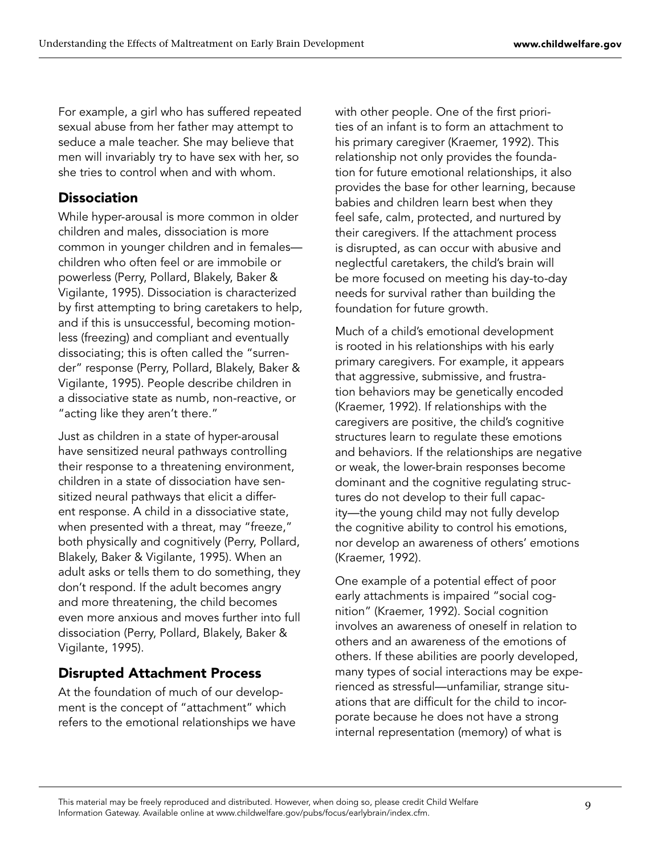For example, a girl who has suffered repeated sexual abuse from her father may attempt to seduce a male teacher. She may believe that men will invariably try to have sex with her, so she tries to control when and with whom.

#### **Dissociation**

While hyper-arousal is more common in older children and males, dissociation is more common in younger children and in females children who often feel or are immobile or powerless (Perry, Pollard, Blakely, Baker & Vigilante, 1995). Dissociation is characterized by first attempting to bring caretakers to help, and if this is unsuccessful, becoming motionless (freezing) and compliant and eventually dissociating; this is often called the "surrender" response (Perry, Pollard, Blakely, Baker & Vigilante, 1995). People describe children in a dissociative state as numb, non-reactive, or "acting like they aren't there."

Just as children in a state of hyper-arousal have sensitized neural pathways controlling their response to a threatening environment, children in a state of dissociation have sensitized neural pathways that elicit a different response. A child in a dissociative state, when presented with a threat, may "freeze," both physically and cognitively (Perry, Pollard, Blakely, Baker & Vigilante, 1995). When an adult asks or tells them to do something, they don't respond. If the adult becomes angry and more threatening, the child becomes even more anxious and moves further into full dissociation (Perry, Pollard, Blakely, Baker & Vigilante, 1995).

#### Disrupted Attachment Process

At the foundation of much of our development is the concept of "attachment" which refers to the emotional relationships we have with other people. One of the first priorities of an infant is to form an attachment to his primary caregiver (Kraemer, 1992). This relationship not only provides the foundation for future emotional relationships, it also provides the base for other learning, because babies and children learn best when they feel safe, calm, protected, and nurtured by their caregivers. If the attachment process is disrupted, as can occur with abusive and neglectful caretakers, the child's brain will be more focused on meeting his day-to-day needs for survival rather than building the foundation for future growth.

Much of a child's emotional development is rooted in his relationships with his early primary caregivers. For example, it appears that aggressive, submissive, and frustration behaviors may be genetically encoded (Kraemer, 1992). If relationships with the caregivers are positive, the child's cognitive structures learn to regulate these emotions and behaviors. If the relationships are negative or weak, the lower-brain responses become dominant and the cognitive regulating structures do not develop to their full capacity—the young child may not fully develop the cognitive ability to control his emotions, nor develop an awareness of others' emotions (Kraemer, 1992).

One example of a potential effect of poor early attachments is impaired "social cognition" (Kraemer, 1992). Social cognition involves an awareness of oneself in relation to others and an awareness of the emotions of others. If these abilities are poorly developed, many types of social interactions may be experienced as stressful—unfamiliar, strange situations that are difficult for the child to incorporate because he does not have a strong internal representation (memory) of what is

 This material may be freely reproduced and distributed. However, when doing so, please credit Child Welfare Information Gateway. Available online at www.childwelfare.gov/pubs/focus/earlybrain/index.cfm.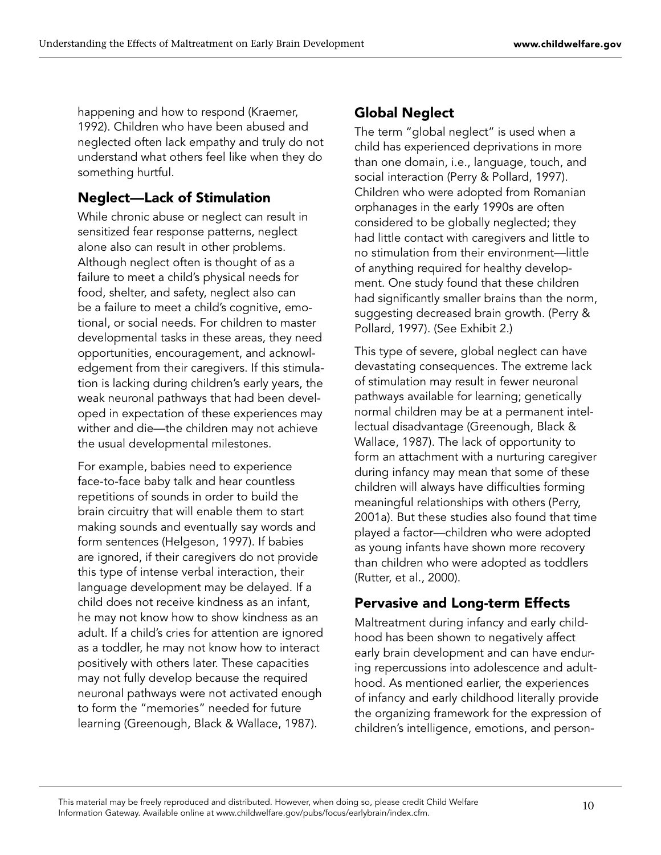happening and how to respond (Kraemer, 1992). Children who have been abused and neglected often lack empathy and truly do not understand what others feel like when they do something hurtful.

#### Neglect—Lack of Stimulation

While chronic abuse or neglect can result in sensitized fear response patterns, neglect alone also can result in other problems. Although neglect often is thought of as a failure to meet a child's physical needs for food, shelter, and safety, neglect also can be a failure to meet a child's cognitive, emotional, or social needs. For children to master developmental tasks in these areas, they need opportunities, encouragement, and acknowledgement from their caregivers. If this stimulation is lacking during children's early years, the weak neuronal pathways that had been developed in expectation of these experiences may wither and die—the children may not achieve the usual developmental milestones.

For example, babies need to experience face-to-face baby talk and hear countless repetitions of sounds in order to build the brain circuitry that will enable them to start making sounds and eventually say words and form sentences (Helgeson, 1997). If babies are ignored, if their caregivers do not provide this type of intense verbal interaction, their language development may be delayed. If a child does not receive kindness as an infant, he may not know how to show kindness as an adult. If a child's cries for attention are ignored as a toddler, he may not know how to interact positively with others later. These capacities may not fully develop because the required neuronal pathways were not activated enough to form the "memories" needed for future learning (Greenough, Black & Wallace, 1987).

# Global Neglect

The term "global neglect" is used when a child has experienced deprivations in more than one domain, i.e., language, touch, and social interaction (Perry & Pollard, 1997). Children who were adopted from Romanian orphanages in the early 1990s are often considered to be globally neglected; they had little contact with caregivers and little to no stimulation from their environment—little of anything required for healthy development. One study found that these children had significantly smaller brains than the norm, suggesting decreased brain growth. (Perry & Pollard, 1997). (See Exhibit 2.)

This type of severe, global neglect can have devastating consequences. The extreme lack of stimulation may result in fewer neuronal pathways available for learning; genetically normal children may be at a permanent intellectual disadvantage (Greenough, Black & Wallace, 1987). The lack of opportunity to form an attachment with a nurturing caregiver during infancy may mean that some of these children will always have difficulties forming meaningful relationships with others (Perry, 2001a). But these studies also found that time played a factor—children who were adopted as young infants have shown more recovery than children who were adopted as toddlers (Rutter, et al., 2000).

# Pervasive and Long-term Effects

Maltreatment during infancy and early childhood has been shown to negatively affect early brain development and can have enduring repercussions into adolescence and adulthood. As mentioned earlier, the experiences of infancy and early childhood literally provide the organizing framework for the expression of children's intelligence, emotions, and person-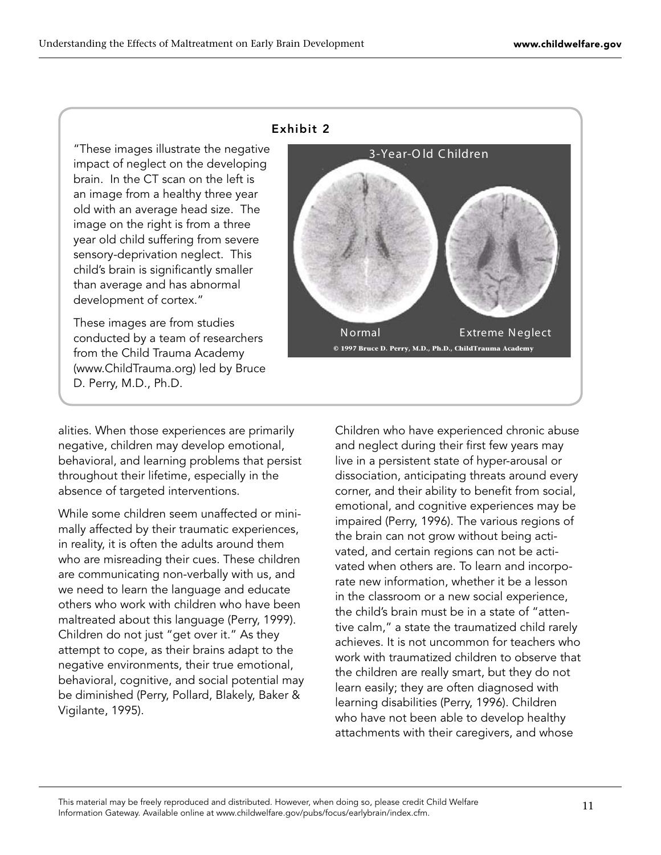"These images illustrate the negative impact of neglect on the developing brain. In the CT scan on the left is an image from a healthy three year old with an average head size. The image on the right is from a three year old child suffering from severe sensory-deprivation neglect. This child's brain is significantly smaller than average and has abnormal development of cortex."

These images are from studies conducted by a team of researchers from the Child Trauma Academy (www.ChildTrauma.org) led by Bruce D. Perry, M.D., Ph.D.

#### Exhibit 2



alities. When those experiences are primarily negative, children may develop emotional, behavioral, and learning problems that persist throughout their lifetime, especially in the absence of targeted interventions.

While some children seem unaffected or minimally affected by their traumatic experiences, in reality, it is often the adults around them who are misreading their cues. These children are communicating non-verbally with us, and we need to learn the language and educate others who work with children who have been maltreated about this language (Perry, 1999). Children do not just "get over it." As they attempt to cope, as their brains adapt to the negative environments, their true emotional, behavioral, cognitive, and social potential may be diminished (Perry, Pollard, Blakely, Baker & Vigilante, 1995).

Children who have experienced chronic abuse and neglect during their first few years may live in a persistent state of hyper-arousal or dissociation, anticipating threats around every corner, and their ability to benefit from social, emotional, and cognitive experiences may be impaired (Perry, 1996). The various regions of the brain can not grow without being activated, and certain regions can not be activated when others are. To learn and incorporate new information, whether it be a lesson in the classroom or a new social experience, the child's brain must be in a state of "attentive calm," a state the traumatized child rarely achieves. It is not uncommon for teachers who work with traumatized children to observe that the children are really smart, but they do not learn easily; they are often diagnosed with learning disabilities (Perry, 1996). Children who have not been able to develop healthy attachments with their caregivers, and whose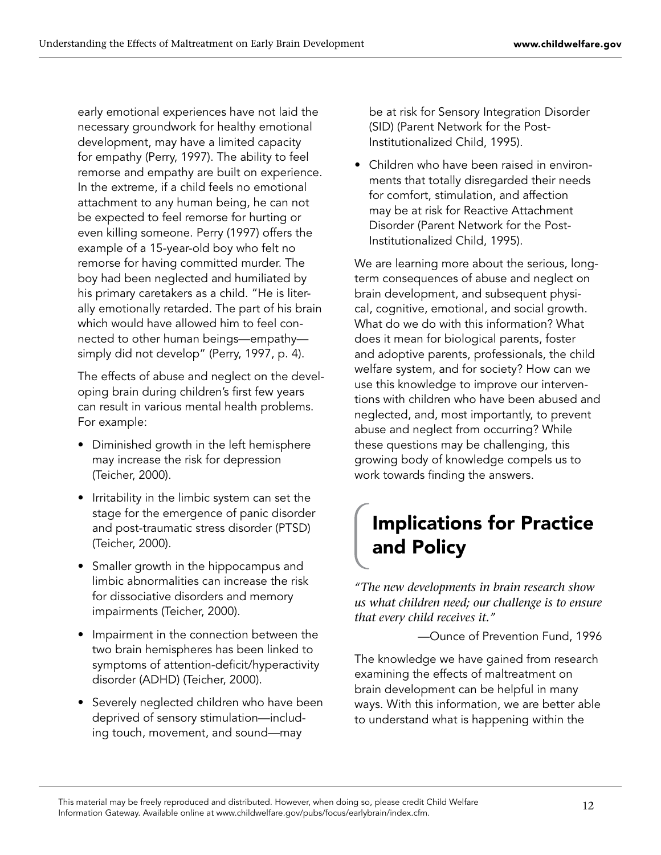early emotional experiences have not laid the necessary groundwork for healthy emotional development, may have a limited capacity for empathy (Perry, 1997). The ability to feel remorse and empathy are built on experience. In the extreme, if a child feels no emotional attachment to any human being, he can not be expected to feel remorse for hurting or even killing someone. Perry (1997) offers the example of a 15-year-old boy who felt no remorse for having committed murder. The boy had been neglected and humiliated by his primary caretakers as a child. "He is literally emotionally retarded. The part of his brain which would have allowed him to feel connected to other human beings—empathy simply did not develop" (Perry, 1997, p. 4).

The effects of abuse and neglect on the developing brain during children's first few years can result in various mental health problems. For example:

- Diminished growth in the left hemisphere may increase the risk for depression (Teicher, 2000).
- $\bullet$  Irritability in the limbic system can set the stage for the emergence of panic disorder and post-traumatic stress disorder (PTSD) (Teicher, 2000).
- $\bullet$  Smaller growth in the hippocampus and  $\overline{\phantom{a}}$ limbic abnormalities can increase the risk for dissociative disorders and memory impairments (Teicher, 2000).
- Impairment in the connection between the two brain hemispheres has been linked to symptoms of attention-deficit/hyperactivity disorder (ADHD) (Teicher, 2000). •
- Severely neglected children who have been deprived of sensory stimulation—including touch, movement, and sound—may

be at risk for Sensory Integration Disorder (SID) (Parent Network for the Post-Institutionalized Child, 1995).

Children who have been raised in environ-•ments that totally disregarded their needs for comfort, stimulation, and affection may be at risk for Reactive Attachment Disorder (Parent Network for the Post-Institutionalized Child, 1995).

We are learning more about the serious, longterm consequences of abuse and neglect on brain development, and subsequent physical, cognitive, emotional, and social growth. What do we do with this information? What does it mean for biological parents, foster and adoptive parents, professionals, the child welfare system, and for society? How can we use this knowledge to improve our interventions with children who have been abused and neglected, and, most importantly, to prevent abuse and neglect from occurring? While these questions may be challenging, this growing body of knowledge compels us to work towards finding the answers.

# Implications for Practice and Policy

*"The new developments in brain research show us what children need; our challenge is to ensure that every child receives it."*

—Ounce of Prevention Fund, 1996

The knowledge we have gained from research examining the effects of maltreatment on brain development can be helpful in many ways. With this information, we are better able to understand what is happening within the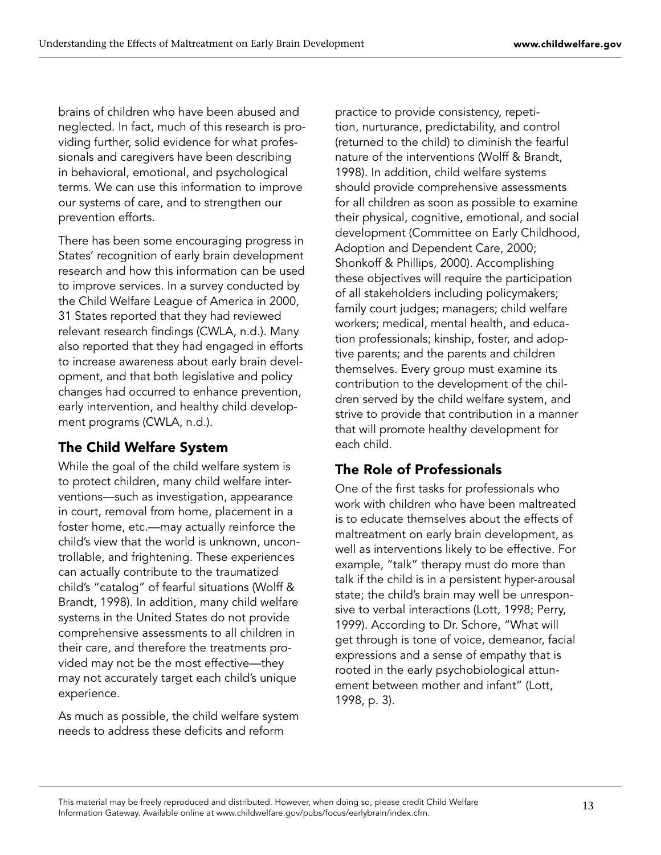brains of children who have been abused and neglected. In fact, much of this research is providing further, solid evidence for what professionals and caregivers have been describing in behavioral, emotional, and psychological terms. We can use this information to improve our systems of care, and to strengthen our prevention efforts.

There has been some encouraging progress in States' recognition of early brain development research and how this information can be used to improve services. In a survey conducted by the Child Welfare League of America in 2000, 31 States reported that they had reviewed relevant research findings (CWLA, n.d.). Many also reported that they had engaged in efforts to increase awareness about early brain development, and that both legislative and policy changes had occurred to enhance prevention, early intervention, and healthy child development programs (CWLA, n.d.).

# The Child Welfare System

While the goal of the child welfare system is to protect children, many child welfare interventions—such as investigation, appearance in court, removal from home, placement in a foster home, etc.—may actually reinforce the child's view that the world is unknown, uncontrollable, and frightening. These experiences can actually contribute to the traumatized child's "catalog" of fearful situations (Wolff & Brandt, 1998). In addition, many child welfare systems in the United States do not provide comprehensive assessments to all children in their care, and therefore the treatments provided may not be the most effective—they may not accurately target each child's unique experience.

As much as possible, the child welfare system needs to address these deficits and reform

practice to provide consistency, repetition, nurturance, predictability, and control (returned to the child) to diminish the fearful nature of the interventions (Wolff & Brandt, 1998). In addition, child welfare systems should provide comprehensive assessments for all children as soon as possible to examine their physical, cognitive, emotional, and social development (Committee on Early Childhood, Adoption and Dependent Care, 2000; Shonkoff & Phillips, 2000). Accomplishing these objectives will require the participation of all stakeholders including policymakers; family court judges; managers; child welfare workers; medical, mental health, and education professionals; kinship, foster, and adoptive parents; and the parents and children themselves. Every group must examine its contribution to the development of the children served by the child welfare system, and strive to provide that contribution in a manner that will promote healthy development for each child.

# The Role of Professionals

One of the first tasks for professionals who work with children who have been maltreated is to educate themselves about the effects of maltreatment on early brain development, as well as interventions likely to be effective. For example, "talk" therapy must do more than talk if the child is in a persistent hyper-arousal state; the child's brain may well be unresponsive to verbal interactions (Lott, 1998; Perry, 1999). According to Dr. Schore, "What will get through is tone of voice, demeanor, facial expressions and a sense of empathy that is rooted in the early psychobiological attunement between mother and infant" (Lott, 1998, p. 3).

13 This material may be freely reproduced and distributed. However, when doing so, please credit Child Welfare Information Gateway. Available online at www.childwelfare.gov/pubs/focus/earlybrain/index.cfm.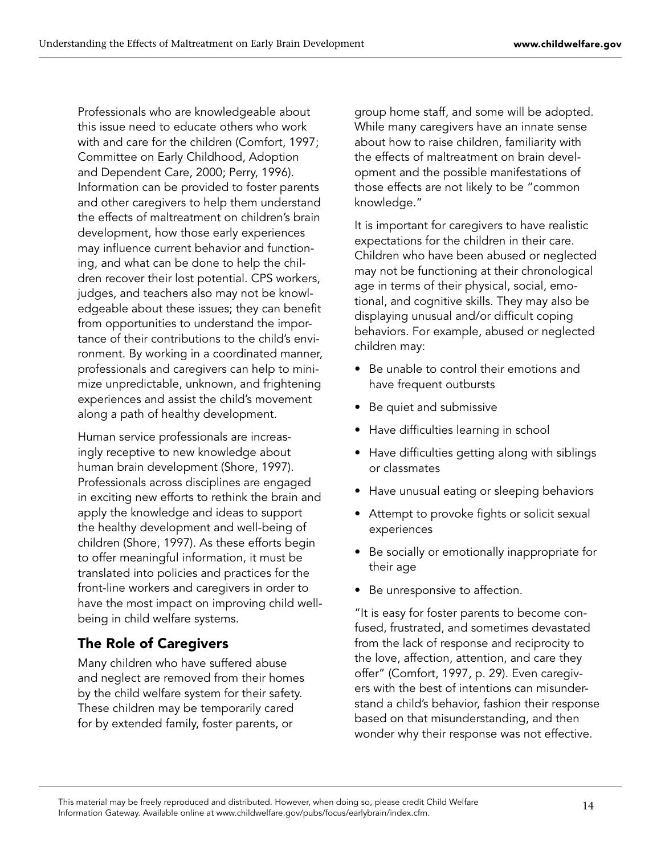Professionals who are knowledgeable about this issue need to educate others who work with and care for the children (Comfort, 1997; Committee on Early Childhood, Adoption and Dependent Care, 2000; Perry, 1996). Information can be provided to foster parents and other caregivers to help them understand the effects of maltreatment on children's brain development, how those early experiences may influence current behavior and functioning, and what can be done to help the children recover their lost potential. CPS workers, judges, and teachers also may not be knowledgeable about these issues; they can benefit from opportunities to understand the importance of their contributions to the child's environment. By working in a coordinated manner, professionals and caregivers can help to minimize unpredictable, unknown, and frightening experiences and assist the child's movement along a path of healthy development.

Human service professionals are increasingly receptive to new knowledge about human brain development (Shore, 1997). Professionals across disciplines are engaged in exciting new efforts to rethink the brain and apply the knowledge and ideas to support the healthy development and well-being of children (Shore, 1997). As these efforts begin to offer meaningful information, it must be translated into policies and practices for the front-line workers and caregivers in order to have the most impact on improving child wellbeing in child welfare systems.

# The Role of Caregivers

Many children who have suffered abuse and neglect are removed from their homes by the child welfare system for their safety. These children may be temporarily cared for by extended family, foster parents, or

group home staff, and some will be adopted. While many caregivers have an innate sense about how to raise children, familiarity with the effects of maltreatment on brain development and the possible manifestations of those effects are not likely to be "common knowledge."

It is important for caregivers to have realistic expectations for the children in their care. Children who have been abused or neglected may not be functioning at their chronological age in terms of their physical, social, emotional, and cognitive skills. They may also be displaying unusual and/or difficult coping behaviors. For example, abused or neglected children may:

- Be unable to control their emotions and have frequent outbursts
- Be quiet and submissive
- $\bullet~$  Have difficulties learning in school
- Have difficulties getting along with siblings or classmates
- Have unusual eating or sleeping behaviors
- Attempt to provoke fights or solicit sexual experiences
- Be socially or emotionally inappropriate for their age
- Be unresponsive to affection.

"It is easy for foster parents to become confused, frustrated, and sometimes devastated from the lack of response and reciprocity to the love, affection, attention, and care they offer" (Comfort, 1997, p. 29). Even caregivers with the best of intentions can misunderstand a child's behavior, fashion their response based on that misunderstanding, and then wonder why their response was not effective.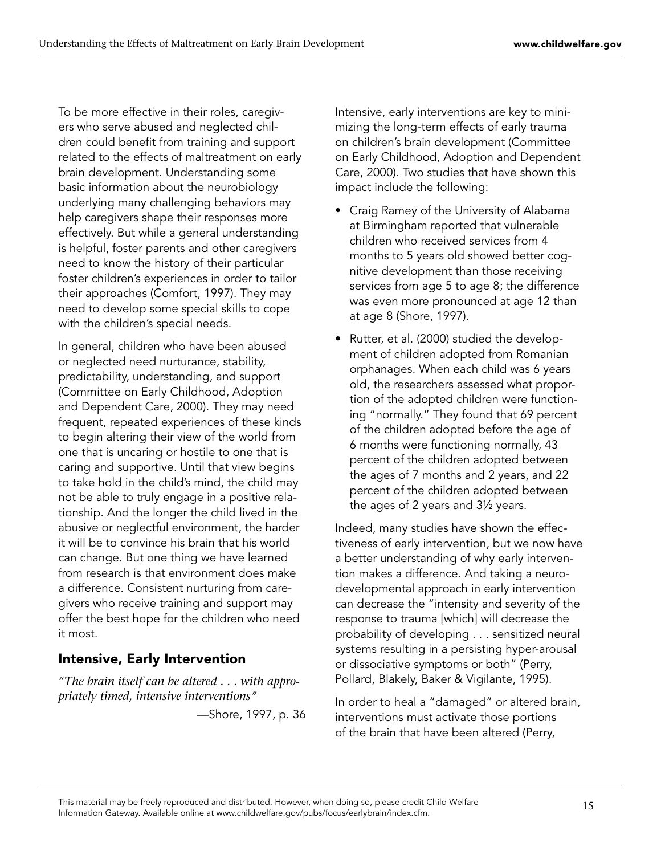To be more effective in their roles, caregivers who serve abused and neglected children could benefit from training and support related to the effects of maltreatment on early brain development. Understanding some basic information about the neurobiology underlying many challenging behaviors may help caregivers shape their responses more effectively. But while a general understanding is helpful, foster parents and other caregivers need to know the history of their particular foster children's experiences in order to tailor their approaches (Comfort, 1997). They may need to develop some special skills to cope with the children's special needs.

In general, children who have been abused or neglected need nurturance, stability, predictability, understanding, and support (Committee on Early Childhood, Adoption and Dependent Care, 2000). They may need frequent, repeated experiences of these kinds to begin altering their view of the world from one that is uncaring or hostile to one that is caring and supportive. Until that view begins to take hold in the child's mind, the child may not be able to truly engage in a positive relationship. And the longer the child lived in the abusive or neglectful environment, the harder it will be to convince his brain that his world can change. But one thing we have learned from research is that environment does make a difference. Consistent nurturing from caregivers who receive training and support may offer the best hope for the children who need it most.

# Intensive, Early Intervention

*"The brain itself can be altered . . . with appropriately timed, intensive interventions"*

—Shore, 1997, p. 36

Intensive, early interventions are key to minimizing the long-term effects of early trauma on children's brain development (Committee on Early Childhood, Adoption and Dependent Care, 2000). Two studies that have shown this impact include the following:

- Craig Ramey of the University of Alabama at Birmingham reported that vulnerable children who received services from 4 months to 5 years old showed better cognitive development than those receiving services from age 5 to age 8; the difference was even more pronounced at age 12 than at age 8 (Shore, 1997).
- Rutter, et al. (2000) studied the development of children adopted from Romanian orphanages. When each child was 6 years old, the researchers assessed what proportion of the adopted children were functioning "normally." They found that 69 percent of the children adopted before the age of 6 months were functioning normally, 43 percent of the children adopted between the ages of 7 months and 2 years, and 22 percent of the children adopted between the ages of 2 years and 3½ years. •

Indeed, many studies have shown the effectiveness of early intervention, but we now have a better understanding of why early intervention makes a difference. And taking a neurodevelopmental approach in early intervention can decrease the "intensity and severity of the response to trauma [which] will decrease the probability of developing . . . sensitized neural systems resulting in a persisting hyper-arousal or dissociative symptoms or both" (Perry, Pollard, Blakely, Baker & Vigilante, 1995).

In order to heal a "damaged" or altered brain, interventions must activate those portions of the brain that have been altered (Perry,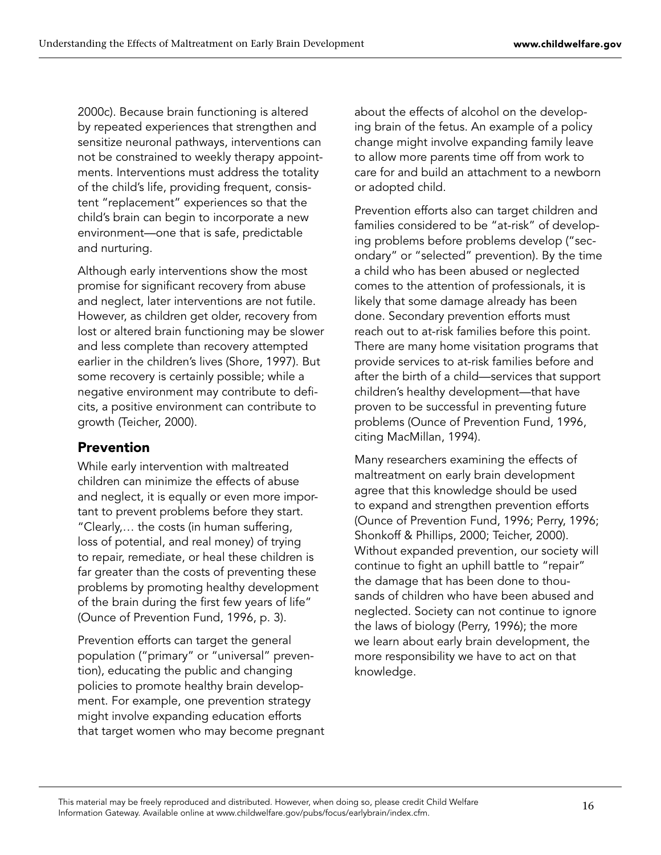2000c). Because brain functioning is altered by repeated experiences that strengthen and sensitize neuronal pathways, interventions can not be constrained to weekly therapy appointments. Interventions must address the totality of the child's life, providing frequent, consistent "replacement" experiences so that the child's brain can begin to incorporate a new environment—one that is safe, predictable and nurturing.

Although early interventions show the most promise for significant recovery from abuse and neglect, later interventions are not futile. However, as children get older, recovery from lost or altered brain functioning may be slower and less complete than recovery attempted earlier in the children's lives (Shore, 1997). But some recovery is certainly possible; while a negative environment may contribute to deficits, a positive environment can contribute to growth (Teicher, 2000).

#### Prevention

While early intervention with maltreated children can minimize the effects of abuse and neglect, it is equally or even more important to prevent problems before they start. "Clearly,… the costs (in human suffering, loss of potential, and real money) of trying to repair, remediate, or heal these children is far greater than the costs of preventing these problems by promoting healthy development of the brain during the first few years of life" (Ounce of Prevention Fund, 1996, p. 3).

Prevention efforts can target the general population ("primary" or "universal" prevention), educating the public and changing policies to promote healthy brain development. For example, one prevention strategy might involve expanding education efforts that target women who may become pregnant about the effects of alcohol on the developing brain of the fetus. An example of a policy change might involve expanding family leave to allow more parents time off from work to care for and build an attachment to a newborn or adopted child.

Prevention efforts also can target children and families considered to be "at-risk" of developing problems before problems develop ("secondary" or "selected" prevention). By the time a child who has been abused or neglected comes to the attention of professionals, it is likely that some damage already has been done. Secondary prevention efforts must reach out to at-risk families before this point. There are many home visitation programs that provide services to at-risk families before and after the birth of a child—services that support children's healthy development—that have proven to be successful in preventing future problems (Ounce of Prevention Fund, 1996, citing MacMillan, 1994).

Many researchers examining the effects of maltreatment on early brain development agree that this knowledge should be used to expand and strengthen prevention efforts (Ounce of Prevention Fund, 1996; Perry, 1996; Shonkoff & Phillips, 2000; Teicher, 2000). Without expanded prevention, our society will continue to fight an uphill battle to "repair" the damage that has been done to thousands of children who have been abused and neglected. Society can not continue to ignore the laws of biology (Perry, 1996); the more we learn about early brain development, the more responsibility we have to act on that knowledge.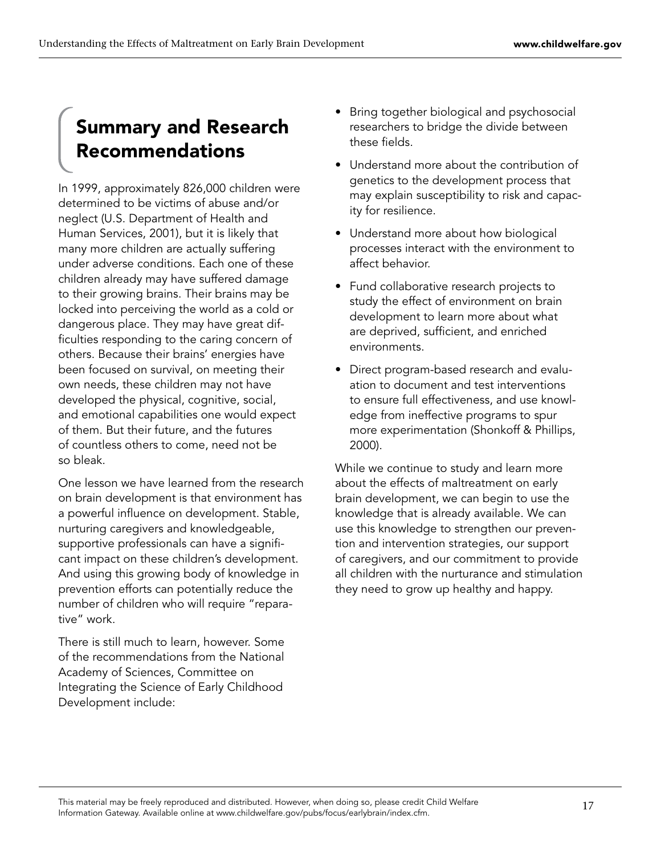# Summary and Research Recommendations

In 1999, approximately 826,000 children were determined to be victims of abuse and/or neglect (U.S. Department of Health and Human Services, 2001), but it is likely that many more children are actually suffering under adverse conditions. Each one of these children already may have suffered damage to their growing brains. Their brains may be locked into perceiving the world as a cold or dangerous place. They may have great difficulties responding to the caring concern of others. Because their brains' energies have been focused on survival, on meeting their own needs, these children may not have developed the physical, cognitive, social, and emotional capabilities one would expect of them. But their future, and the futures of countless others to come, need not be so bleak.

One lesson we have learned from the research on brain development is that environment has a powerful influence on development. Stable, nurturing caregivers and knowledgeable, supportive professionals can have a significant impact on these children's development. And using this growing body of knowledge in prevention efforts can potentially reduce the number of children who will require "reparative" work.

There is still much to learn, however. Some of the recommendations from the National Academy of Sciences, Committee on Integrating the Science of Early Childhood Development include:

- Bring together biological and psychosocial researchers to bridge the divide between these fields.
- Understand more about the contribution of genetics to the development process that may explain susceptibility to risk and capacity for resilience.
- Understand more about how biological processes interact with the environment to affect behavior.
- Fund collaborative research projects to study the effect of environment on brain development to learn more about what are deprived, sufficient, and enriched environments.
- Direct program-based research and evalu-•ation to document and test interventions to ensure full effectiveness, and use knowledge from ineffective programs to spur more experimentation (Shonkoff & Phillips, 2000).

While we continue to study and learn more about the effects of maltreatment on early brain development, we can begin to use the knowledge that is already available. We can use this knowledge to strengthen our prevention and intervention strategies, our support of caregivers, and our commitment to provide all children with the nurturance and stimulation they need to grow up healthy and happy.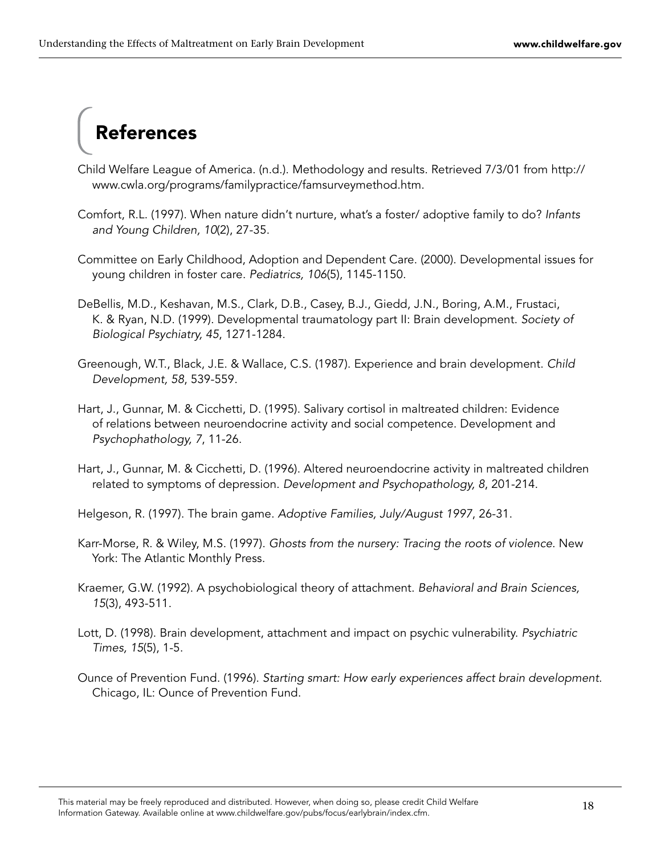# References

- Child Welfare League of America. (n.d.). Methodology and results. Retrieved 7/3/01 from http:// www.cwla.org/programs/familypractice/famsurveymethod.htm.
- Comfort, R.L. (1997). When nature didn't nurture, what's a foster/ adoptive family to do? Infants and Young Children, 10(2), 27-35.
- Committee on Early Childhood, Adoption and Dependent Care. (2000). Developmental issues for young children in foster care. Pediatrics, 106(5), 1145-1150.
- DeBellis, M.D., Keshavan, M.S., Clark, D.B., Casey, B.J., Giedd, J.N., Boring, A.M., Frustaci, K. & Ryan, N.D. (1999). Developmental traumatology part II: Brain development. Society of Biological Psychiatry, 45, 1271-1284.
- Greenough, W.T., Black, J.E. & Wallace, C.S. (1987). Experience and brain development. Child Development, 58, 539-559.
- Hart, J., Gunnar, M. & Cicchetti, D. (1995). Salivary cortisol in maltreated children: Evidence of relations between neuroendocrine activity and social competence. Development and Psychophathology, 7, 11-26.
- Hart, J., Gunnar, M. & Cicchetti, D. (1996). Altered neuroendocrine activity in maltreated children related to symptoms of depression. Development and Psychopathology, 8, 201-214.
- Helgeson, R. (1997). The brain game. Adoptive Families, July/August 1997, 26-31.
- Karr-Morse, R. & Wiley, M.S. (1997). Ghosts from the nursery: Tracing the roots of violence. New York: The Atlantic Monthly Press.
- Kraemer, G.W. (1992). A psychobiological theory of attachment. Behavioral and Brain Sciences, 15(3), 493-511.
- Lott, D. (1998). Brain development, attachment and impact on psychic vulnerability. Psychiatric Times, 15(5), 1-5.
- Ounce of Prevention Fund. (1996). Starting smart: How early experiences affect brain development. Chicago, IL: Ounce of Prevention Fund.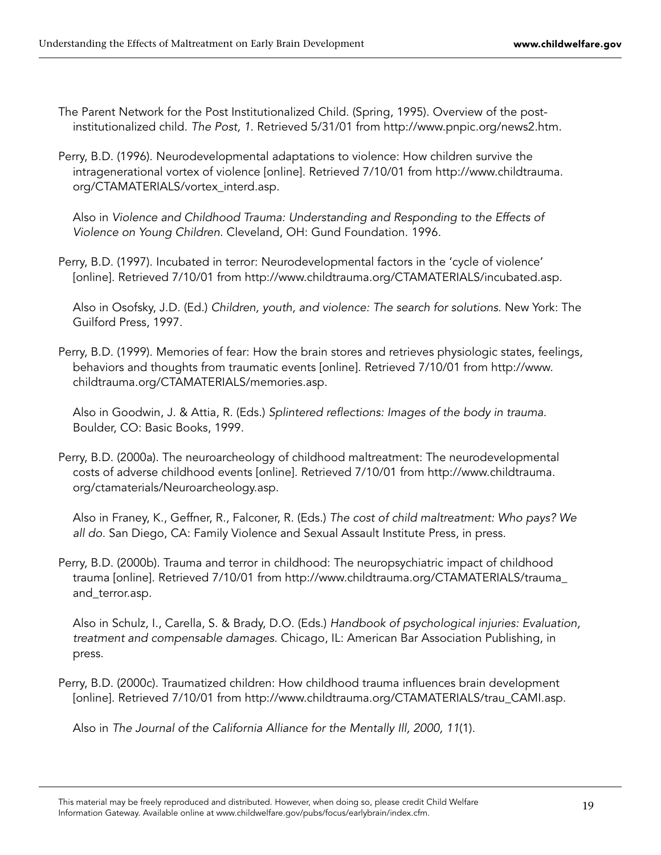- The Parent Network for the Post Institutionalized Child. (Spring, 1995). Overview of the postinstitutionalized child. The Post, 1. Retrieved 5/31/01 from http://www.pnpic.org/news2.htm.
- Perry, B.D. (1996). Neurodevelopmental adaptations to violence: How children survive the intragenerational vortex of violence [online]. Retrieved 7/10/01 from http://www.childtrauma. org/CTAMATERIALS/vortex\_interd.asp.

Also in Violence and Childhood Trauma: Understanding and Responding to the Effects of Violence on Young Children. Cleveland, OH: Gund Foundation. 1996.

Perry, B.D. (1997). Incubated in terror: Neurodevelopmental factors in the 'cycle of violence' [online]. Retrieved 7/10/01 from http://www.childtrauma.org/CTAMATERIALS/incubated.asp.

Also in Osofsky, J.D. (Ed.) Children, youth, and violence: The search for solutions. New York: The Guilford Press, 1997.

Perry, B.D. (1999). Memories of fear: How the brain stores and retrieves physiologic states, feelings, behaviors and thoughts from traumatic events [online]. Retrieved 7/10/01 from http://www. childtrauma.org/CTAMATERIALS/memories.asp.

Also in Goodwin, J. & Attia, R. (Eds.) Splintered reflections: Images of the body in trauma. Boulder, CO: Basic Books, 1999.

Perry, B.D. (2000a). The neuroarcheology of childhood maltreatment: The neurodevelopmental costs of adverse childhood events [online]. Retrieved 7/10/01 from http://www.childtrauma. org/ctamaterials/Neuroarcheology.asp.

Also in Franey, K., Geffner, R., Falconer, R. (Eds.) The cost of child maltreatment: Who pays? We all do. San Diego, CA: Family Violence and Sexual Assault Institute Press, in press.

Perry, B.D. (2000b). Trauma and terror in childhood: The neuropsychiatric impact of childhood trauma [online]. Retrieved 7/10/01 from http://www.childtrauma.org/CTAMATERIALS/trauma\_ and\_terror.asp.

Also in Schulz, I., Carella, S. & Brady, D.O. (Eds.) Handbook of psychological injuries: Evaluation, treatment and compensable damages. Chicago, IL: American Bar Association Publishing, in press.

Perry, B.D. (2000c). Traumatized children: How childhood trauma influences brain development [online]. Retrieved 7/10/01 from http://www.childtrauma.org/CTAMATERIALS/trau\_CAMI.asp.

Also in The Journal of the California Alliance for the Mentally Ill, 2000, 11(1).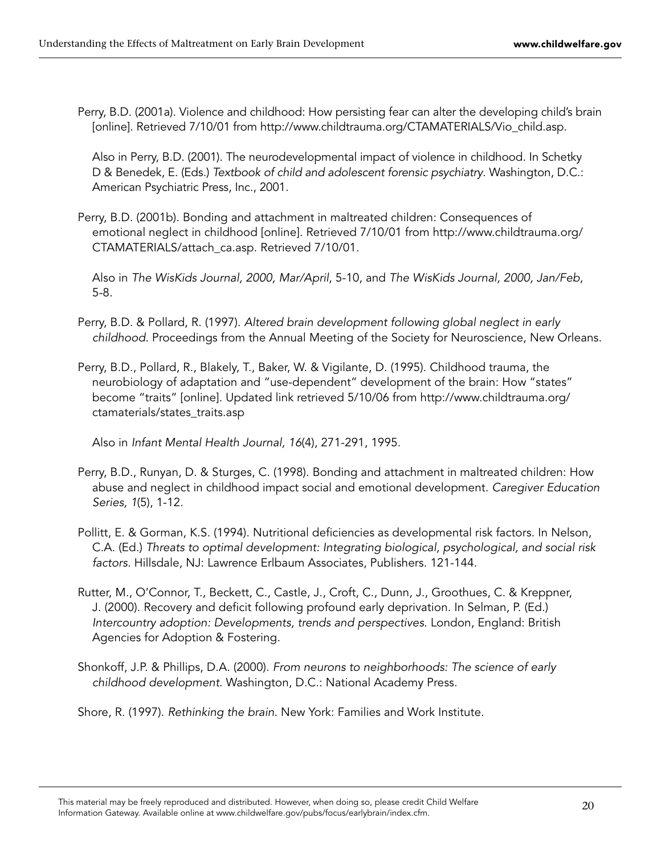Perry, B.D. (2001a). Violence and childhood: How persisting fear can alter the developing child's brain [online]. Retrieved 7/10/01 from http://www.childtrauma.org/CTAMATERIALS/Vio\_child.asp.

Also in Perry, B.D. (2001). The neurodevelopmental impact of violence in childhood. In Schetky D & Benedek, E. (Eds.) Textbook of child and adolescent forensic psychiatry. Washington, D.C.: American Psychiatric Press, Inc., 2001.

Perry, B.D. (2001b). Bonding and attachment in maltreated children: Consequences of emotional neglect in childhood [online]. Retrieved 7/10/01 from http://www.childtrauma.org/ CTAMATERIALS/attach\_ca.asp. Retrieved 7/10/01.

Also in The WisKids Journal, 2000, Mar/April, 5-10, and The WisKids Journal, 2000, Jan/Feb, 5-8.

- Perry, B.D. & Pollard, R. (1997). Altered brain development following global neglect in early childhood. Proceedings from the Annual Meeting of the Society for Neuroscience, New Orleans.
- Perry, B.D., Pollard, R., Blakely, T., Baker, W. & Vigilante, D. (1995). Childhood trauma, the neurobiology of adaptation and "use-dependent" development of the brain: How "states" become "traits" [online]. Updated link retrieved 5/10/06 from http://www.childtrauma.org/ ctamaterials/states\_traits.asp

Also in Infant Mental Health Journal, 16(4), 271-291, 1995.

- Perry, B.D., Runyan, D. & Sturges, C. (1998). Bonding and attachment in maltreated children: How abuse and neglect in childhood impact social and emotional development. Caregiver Education Series, 1(5), 1-12.
- Pollitt, E. & Gorman, K.S. (1994). Nutritional deficiencies as developmental risk factors. In Nelson, C.A. (Ed.) Threats to optimal development: Integrating biological, psychological, and social risk factors. Hillsdale, NJ: Lawrence Erlbaum Associates, Publishers. 121-144.
- Rutter, M., O'Connor, T., Beckett, C., Castle, J., Croft, C., Dunn, J., Groothues, C. & Kreppner, J. (2000). Recovery and deficit following profound early deprivation. In Selman, P. (Ed.) Intercountry adoption: Developments, trends and perspectives. London, England: British Agencies for Adoption & Fostering.
- Shonkoff, J.P. & Phillips, D.A. (2000). From neurons to neighborhoods: The science of early childhood development. Washington, D.C.: National Academy Press.

Shore, R. (1997). Rethinking the brain. New York: Families and Work Institute.